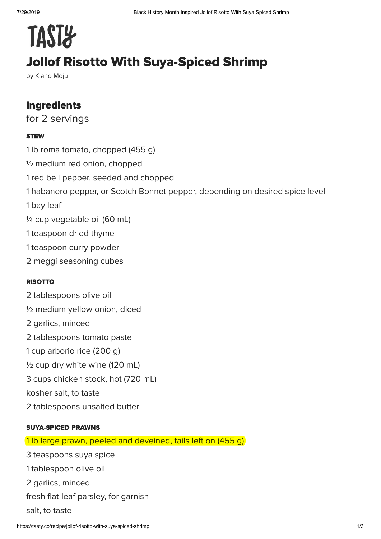# **TAST&**

# Jollof Risotto With Suya-Spiced Shrimp

by Kiano Moju

## Ingredients

for 2 servings

#### **STEW**

1 lb roma tomato, chopped (455 g) ½ medium red onion, chopped 1 red bell pepper, seeded and chopped 1 habanero pepper, or Scotch Bonnet pepper, depending on desired spice level 1 bay leaf ¼ cup vegetable oil (60 mL) 1 teaspoon dried thyme 1 teaspoon curry powder 2 meggi seasoning cubes

#### RISOTTO

2 tablespoons olive oil ½ medium yellow onion, diced 2 garlics, minced 2 tablespoons tomato paste 1 cup arborio rice (200 g)  $\frac{1}{2}$  cup dry white wine (120 mL) 3 cups chicken stock, hot (720 mL) kosher salt, to taste 2 tablespoons unsalted butter

#### SUYA-SPICED PRAWNS

1 lb large prawn, peeled and deveined, tails left on (455 g)

3 teaspoons suya spice 1 tablespoon olive oil 2 garlics, minced fresh flat-leaf parsley, for garnish salt, to taste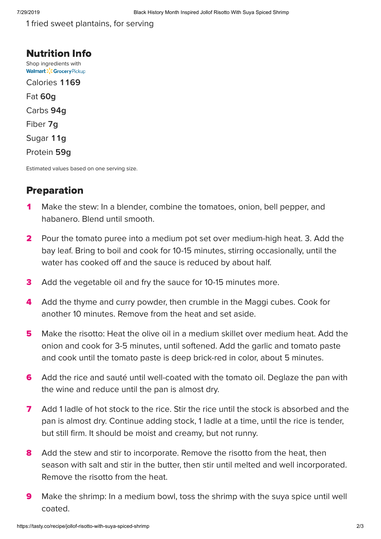1 fried sweet plantains, for serving

Nutrition Info [Shop ingredients with](https://grocery.walmart.com/) **Walmart > CGrocery Pickup** Calories 1169 Fat **g** Carbs **g** Fiber 7q Sugar 11g Protein 59q

Estimated values based on one serving size.

### Preparation

- Make the stew: In a blender, combine the tomatoes, onion, bell pepper, and habanero. Blend until smooth.  $\blacktriangleleft$
- Pour the tomato puree into a medium pot set over medium-high heat. 3. Add the bay leaf. Bring to boil and cook for 10-15 minutes, stirring occasionally, until the water has cooked off and the sauce is reduced by about half.  $\overline{\mathbf{2}}$
- Add the vegetable oil and fry the sauce for 10-15 minutes more. 3
- Add the thyme and curry powder, then crumble in the Maggi cubes. Cook for another 10 minutes. Remove from the heat and set aside. 4
- Make the risotto: Heat the olive oil in a medium skillet over medium heat. Add the onion and cook for 3-5 minutes, until softened. Add the garlic and tomato paste and cook until the tomato paste is deep brick-red in color, about 5 minutes. 5
- Add the rice and sauté until well-coated with the tomato oil. Deglaze the pan with the wine and reduce until the pan is almost dry. 6
- Add 1 ladle of hot stock to the rice. Stir the rice until the stock is absorbed and the pan is almost dry. Continue adding stock, 1 ladle at a time, until the rice is tender, but still firm. It should be moist and creamy, but not runny.  $\overline{\mathbf{z}}$
- Add the stew and stir to incorporate. Remove the risotto from the heat, then season with salt and stir in the butter, then stir until melted and well incorporated. Remove the risotto from the heat. 8
- Make the shrimp: In a medium bowl, toss the shrimp with the suya spice until well coated.  $\boldsymbol{9}$